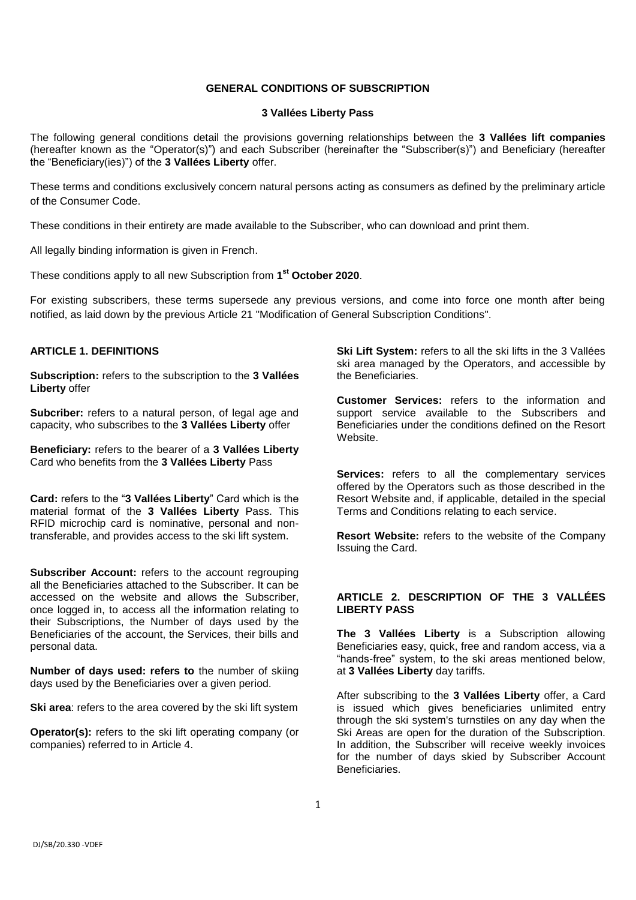### **GENERAL CONDITIONS OF SUBSCRIPTION**

### **3 Vallées Liberty Pass**

The following general conditions detail the provisions governing relationships between the **3 Vallées lift companies** (hereafter known as the "Operator(s)") and each Subscriber (hereinafter the "Subscriber(s)") and Beneficiary (hereafter the "Beneficiary(ies)") of the **3 Vallées Liberty** offer.

These terms and conditions exclusively concern natural persons acting as consumers as defined by the preliminary article of the Consumer Code.

These conditions in their entirety are made available to the Subscriber, who can download and print them.

All legally binding information is given in French.

These conditions apply to all new Subscription from **1 st October 2020**.

For existing subscribers, these terms supersede any previous versions, and come into force one month after being notified, as laid down by the previous Article 21 "Modification of General Subscription Conditions".

#### **ARTICLE 1. DEFINITIONS**

**Subscription:** refers to the subscription to the **3 Vallées Liberty** offer

**Subcriber:** refers to a natural person, of legal age and capacity, who subscribes to the **3 Vallées Liberty** offer

**Beneficiary:** refers to the bearer of a **3 Vallées Liberty** Card who benefits from the **3 Vallées Liberty** Pass

**Card:** refers to the "**3 Vallées Liberty**" Card which is the material format of the **3 Vallées Liberty** Pass. This RFID microchip card is nominative, personal and nontransferable, and provides access to the ski lift system.

**Subscriber Account:** refers to the account regrouping all the Beneficiaries attached to the Subscriber. It can be accessed on the website and allows the Subscriber, once logged in, to access all the information relating to their Subscriptions, the Number of days used by the Beneficiaries of the account, the Services, their bills and personal data.

**Number of days used: refers to** the number of skiing days used by the Beneficiaries over a given period.

**Ski area:** refers to the area covered by the ski lift system

**Operator(s):** refers to the ski lift operating company (or companies) referred to in Article 4.

**Ski Lift System:** refers to all the ski lifts in the 3 Vallées ski area managed by the Operators, and accessible by the Beneficiaries.

**Customer Services:** refers to the information and support service available to the Subscribers and Beneficiaries under the conditions defined on the Resort Website.

**Services:** refers to all the complementary services offered by the Operators such as those described in the Resort Website and, if applicable, detailed in the special Terms and Conditions relating to each service.

**Resort Website:** refers to the website of the Company Issuing the Card.

#### **ARTICLE 2. DESCRIPTION OF THE 3 VALLÉES LIBERTY PASS**

**The 3 Vallées Liberty** is a Subscription allowing Beneficiaries easy, quick, free and random access, via a "hands-free" system, to the ski areas mentioned below, at **3 Vallées Liberty** day tariffs.

After subscribing to the **3 Vallées Liberty** offer, a Card is issued which gives beneficiaries unlimited entry through the ski system's turnstiles on any day when the Ski Areas are open for the duration of the Subscription. In addition, the Subscriber will receive weekly invoices for the number of days skied by Subscriber Account Beneficiaries.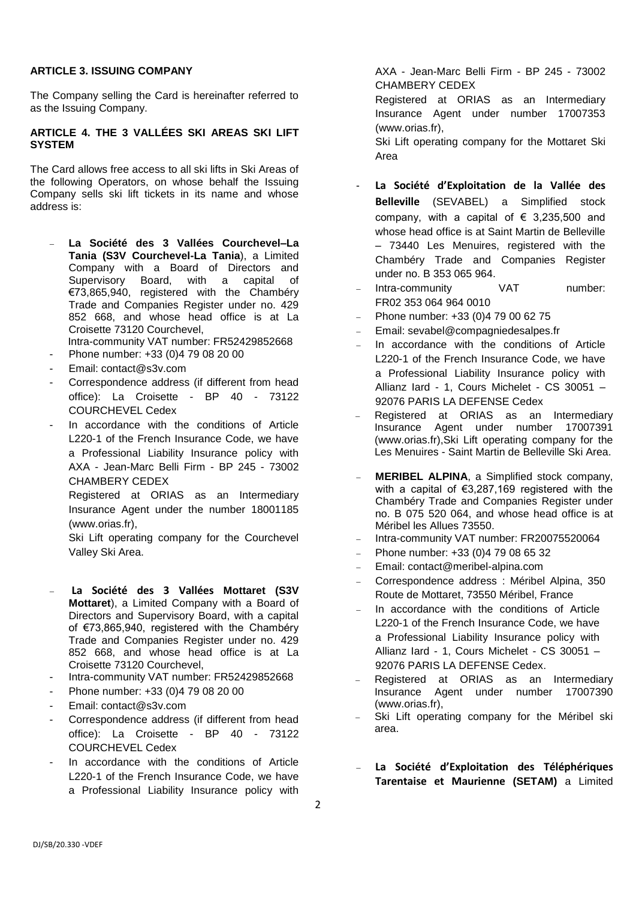### **ARTICLE 3. ISSUING COMPANY**

The Company selling the Card is hereinafter referred to as the Issuing Company.

### **ARTICLE 4. THE 3 VALLÉES SKI AREAS SKI LIFT SYSTEM**

The Card allows free access to all ski lifts in Ski Areas of the following Operators, on whose behalf the Issuing Company sells ski lift tickets in its name and whose address is:

- **La Société des 3 Vallées Courchevel–La Tania (S3V Courchevel-La Tania**), a Limited Company with a Board of Directors and Supervisory Board, with a capital of €73,865,940, registered with the Chambéry Trade and Companies Register under no. 429 852 668, and whose head office is at La Croisette 73120 Courchevel,
- Intra-community VAT number: FR52429852668
- Phone number: +33 (0) 4 79 08 20 00
- Email: contact@s3v.com
- Correspondence address (if different from head office): La Croisette - BP 40 - 73122 COURCHEVEL Cedex
- In accordance with the conditions of Article L220-1 of the French Insurance Code, we have a Professional Liability Insurance policy with AXA - Jean-Marc Belli Firm - BP 245 - 73002 CHAMBERY CEDEX

Registered at ORIAS as an Intermediary Insurance Agent under the number 18001185 (www.orias.fr),

Ski Lift operating company for the Courchevel Valley Ski Area.

- **La Société des 3 Vallées Mottaret (S3V Mottaret**), a Limited Company with a Board of Directors and Supervisory Board, with a capital of €73,865,940, registered with the Chambéry Trade and Companies Register under no. 429 852 668, and whose head office is at La Croisette 73120 Courchevel,
- Intra-community VAT number: FR52429852668
- Phone number: +33 (0) 4 79 08 20 00
- Email: contact@s3v.com
- Correspondence address (if different from head office): La Croisette - BP 40 - 73122 COURCHEVEL Cedex
- In accordance with the conditions of Article L220-1 of the French Insurance Code, we have a Professional Liability Insurance policy with

AXA - Jean-Marc Belli Firm - BP 245 - 73002 CHAMBERY CEDEX

Registered at ORIAS as an Intermediary Insurance Agent under number 17007353 (www.orias.fr),

Ski Lift operating company for the Mottaret Ski Area

- **La Société d'Exploitation de la Vallée des Belleville** (SEVABEL) a Simplified stock company, with a capital of  $\epsilon$  3,235,500 and whose head office is at Saint Martin de Belleville – 73440 Les Menuires, registered with the Chambéry Trade and Companies Register under no. B 353 065 964.
- Intra-community VAT number: FR02 353 064 964 0010
- Phone number: +33 (0)4 79 00 62 75
- Email: sevabel@compagniedesalpes.fr
- In accordance with the conditions of Article L220-1 of the French Insurance Code, we have a Professional Liability Insurance policy with Allianz Iard - 1, Cours Michelet - CS 30051 – 92076 PARIS LA DEFENSE Cedex
- Registered at ORIAS as an Intermediary Insurance Agent under number 17007391 (www.orias.fr),Ski Lift operating company for the Les Menuires - Saint Martin de Belleville Ski Area.
- **MERIBEL ALPINA**, a Simplified stock company, with a capital of €3.287,169 registered with the Chambéry Trade and Companies Register under no. B 075 520 064, and whose head office is at Méribel les Allues 73550.
- Intra-community VAT number: FR20075520064
- Phone number: +33 (0)4 79 08 65 32
- Email: contact@meribel-alpina.com
- Correspondence address : Méribel Alpina, 350 Route de Mottaret, 73550 Méribel, France
- In accordance with the conditions of Article L220-1 of the French Insurance Code, we have a Professional Liability Insurance policy with Allianz Iard - 1, Cours Michelet - CS 30051 – 92076 PARIS LA DEFENSE Cedex.
- Registered at ORIAS as an Intermediary Insurance Agent under number 17007390 [\(www.orias.fr\)](http://www.orias.fr/),
- Ski Lift operating company for the Méribel ski area.
- **La Société d'Exploitation des Téléphériques Tarentaise et Maurienne (SETAM)** a Limited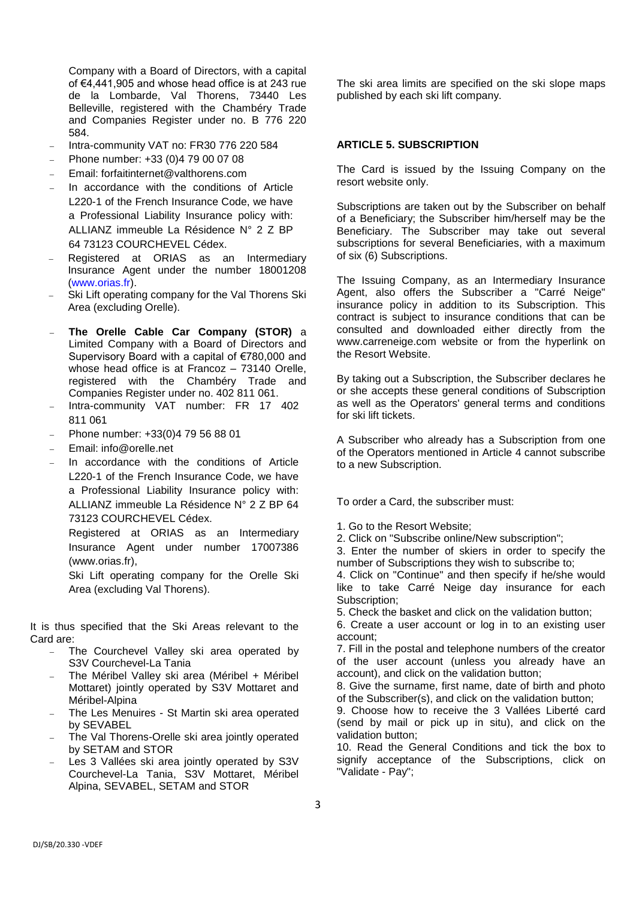Company with a Board of Directors, with a capital of €4,441,905 and whose head office is at 243 rue de la Lombarde, Val Thorens, 73440 Les Belleville, registered with the Chambéry Trade and Companies Register under no. B 776 220 584.

- Intra-community VAT no: FR30 776 220 584
- Phone number: +33 (0)4 79 00 07 08
- Email: forfaitinternet@valthorens.com
- In accordance with the conditions of Article L220-1 of the French Insurance Code, we have a Professional Liability Insurance policy with: ALLIANZ immeuble La Résidence N° 2 Z BP 64 73123 COURCHEVEL Cédex.
- Registered at ORIAS as an Intermediary Insurance Agent under the number 18001208 [\(www.orias.fr\)](http://www.orias.fr/).
- Ski Lift operating company for the Val Thorens Ski Area (excluding Orelle).
- **The Orelle Cable Car Company (STOR)** a Limited Company with a Board of Directors and Supervisory Board with a capital of €780,000 and whose head office is at Francoz - 73140 Orelle, registered with the Chambéry Trade and Companies Register under no. 402 811 061.
- Intra-community VAT number: FR 17 402 811 061
- Phone number: +33(0)4 79 56 88 01
- Email: info@orelle.net
- In accordance with the conditions of Article L220-1 of the French Insurance Code, we have a Professional Liability Insurance policy with: ALLIANZ immeuble La Résidence N° 2 Z BP 64 73123 COURCHEVEL Cédex.

Registered at ORIAS as an Intermediary Insurance Agent under number 17007386 (www.orias.fr),

Ski Lift operating company for the Orelle Ski Area (excluding Val Thorens).

It is thus specified that the Ski Areas relevant to the Card are:

- The Courchevel Valley ski area operated by S3V Courchevel-La Tania
- The Méribel Valley ski area (Méribel + Méribel Mottaret) jointly operated by S3V Mottaret and Méribel-Alpina
- The Les Menuires St Martin ski area operated by SEVABEL
- The Val Thorens-Orelle ski area jointly operated by SETAM and STOR
- Les 3 Vallées ski area jointly operated by S3V Courchevel-La Tania, S3V Mottaret, Méribel Alpina, SEVABEL, SETAM and STOR

The ski area limits are specified on the ski slope maps published by each ski lift company.

#### **ARTICLE 5. SUBSCRIPTION**

The Card is issued by the Issuing Company on the resort website only.

Subscriptions are taken out by the Subscriber on behalf of a Beneficiary; the Subscriber him/herself may be the Beneficiary. The Subscriber may take out several subscriptions for several Beneficiaries, with a maximum of six (6) Subscriptions.

The Issuing Company, as an Intermediary Insurance Agent, also offers the Subscriber a "Carré Neige" insurance policy in addition to its Subscription. This contract is subject to insurance conditions that can be consulted and downloaded either directly from the www.carreneige.com website or from the hyperlink on the Resort Website.

By taking out a Subscription, the Subscriber declares he or she accepts these general conditions of Subscription as well as the Operators' general terms and conditions for ski lift tickets.

A Subscriber who already has a Subscription from one of the Operators mentioned in Article 4 cannot subscribe to a new Subscription.

To order a Card, the subscriber must:

- 1. Go to the Resort Website;
- 2. Click on "Subscribe online/New subscription";
- 3. Enter the number of skiers in order to specify the number of Subscriptions they wish to subscribe to;

4. Click on "Continue" and then specify if he/she would like to take Carré Neige day insurance for each Subscription;

5. Check the basket and click on the validation button;

6. Create a user account or log in to an existing user account;

7. Fill in the postal and telephone numbers of the creator of the user account (unless you already have an account), and click on the validation button;

8. Give the surname, first name, date of birth and photo of the Subscriber(s), and click on the validation button;

9. Choose how to receive the 3 Vallées Liberté card (send by mail or pick up in situ), and click on the validation button;

10. Read the General Conditions and tick the box to signify acceptance of the Subscriptions, click on "Validate - Pay";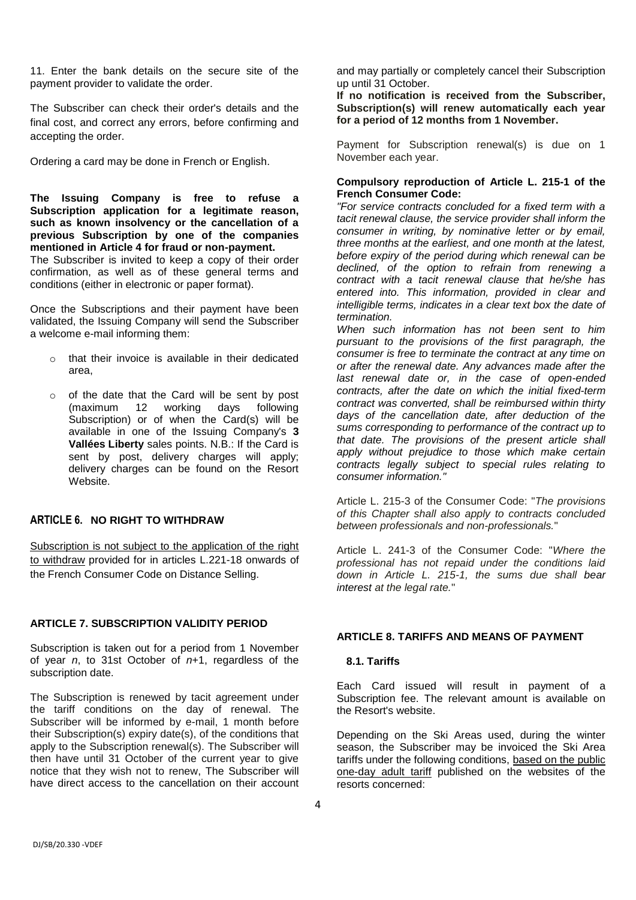11. Enter the bank details on the secure site of the payment provider to validate the order.

The Subscriber can check their order's details and the final cost, and correct any errors, before confirming and accepting the order.

Ordering a card may be done in French or English.

**The Issuing Company is free to refuse a Subscription application for a legitimate reason, such as known insolvency or the cancellation of a previous Subscription by one of the companies mentioned in Article 4 for fraud or non-payment.**

The Subscriber is invited to keep a copy of their order confirmation, as well as of these general terms and conditions (either in electronic or paper format).

Once the Subscriptions and their payment have been validated, the Issuing Company will send the Subscriber a welcome e-mail informing them:

- o that their invoice is available in their dedicated area,
- o of the date that the Card will be sent by post (maximum 12 working days following Subscription) or of when the Card(s) will be available in one of the Issuing Company's **3 Vallées Liberty** sales points. N.B.: If the Card is sent by post, delivery charges will apply; delivery charges can be found on the Resort Website.

# **ARTICLE 6. NO RIGHT TO WITHDRAW**

Subscription is not subject to the application of the right to withdraw provided for in articles L.221-18 onwards of the French Consumer Code on Distance Selling.

# **ARTICLE 7. SUBSCRIPTION VALIDITY PERIOD**

Subscription is taken out for a period from 1 November of year *n*, to 31st October of *n*+1, regardless of the subscription date.

The Subscription is renewed by tacit agreement under the tariff conditions on the day of renewal. The Subscriber will be informed by e-mail, 1 month before their Subscription(s) expiry date(s), of the conditions that apply to the Subscription renewal(s). The Subscriber will then have until 31 October of the current year to give notice that they wish not to renew, The Subscriber will have direct access to the cancellation on their account and may partially or completely cancel their Subscription up until 31 October.

**If no notification is received from the Subscriber, Subscription(s) will renew automatically each year for a period of 12 months from 1 November.**

Payment for Subscription renewal(s) is due on 1 November each year.

### **Compulsory reproduction of Article L. 215-1 of the French Consumer Code:**

*"For service contracts concluded for a fixed term with a tacit renewal clause, the service provider shall inform the consumer in writing, by nominative letter or by email, three months at the earliest, and one month at the latest, before expiry of the period during which renewal can be declined, of the option to refrain from renewing a contract with a tacit renewal clause that he/she has entered into. This information, provided in clear and intelligible terms, indicates in a clear text box the date of termination.*

*When such information has not been sent to him pursuant to the provisions of the first paragraph, the consumer is free to terminate the contract at any time on or after the renewal date. Any advances made after the last renewal date or, in the case of open-ended contracts, after the date on which the initial fixed-term contract was converted, shall be reimbursed within thirty days of the cancellation date, after deduction of the sums corresponding to performance of the contract up to that date. The provisions of the present article shall apply without prejudice to those which make certain contracts legally subject to special rules relating to consumer information."*

Article L. 215-3 of the Consumer Code: "*The provisions of this Chapter shall also apply to contracts concluded between professionals and non-professionals.*"

Article L. 241-3 of the Consumer Code: "*Where the professional has not repaid under the conditions laid down in Article L. 215-1, the sums due shall bear interest at the legal rate.*"

# **ARTICLE 8. TARIFFS AND MEANS OF PAYMENT**

### **8.1. Tariffs**

Each Card issued will result in payment of a Subscription fee. The relevant amount is available on the Resort's website.

Depending on the Ski Areas used, during the winter season, the Subscriber may be invoiced the Ski Area tariffs under the following conditions, based on the public one-day adult tariff published on the websites of the resorts concerned: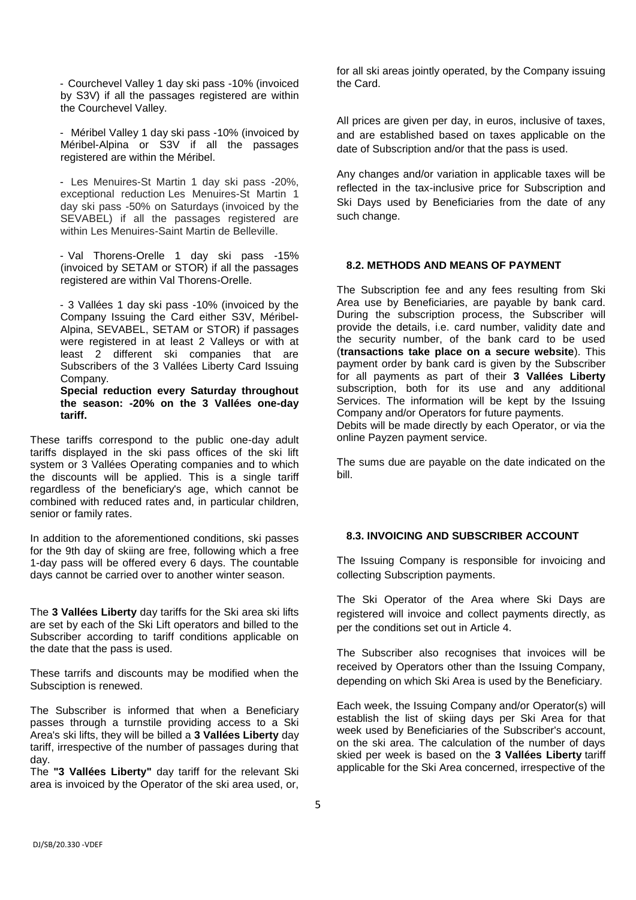- Courchevel Valley 1 day ski pass -10% (invoiced by S3V) if all the passages registered are within the Courchevel Valley.

- Méribel Valley 1 day ski pass -10% (invoiced by Méribel-Alpina or S3V if all the passages registered are within the Méribel.

- Les Menuires-St Martin 1 day ski pass -20%, exceptional reduction Les Menuires-St Martin 1 day ski pass -50% on Saturdays (invoiced by the SEVABEL) if all the passages registered are within Les Menuires-Saint Martin de Belleville.

- Val Thorens-Orelle 1 day ski pass -15% (invoiced by SETAM or STOR) if all the passages registered are within Val Thorens-Orelle.

- 3 Vallées 1 day ski pass -10% (invoiced by the Company Issuing the Card either S3V, Méribel-Alpina, SEVABEL, SETAM or STOR) if passages were registered in at least 2 Valleys or with at least 2 different ski companies that are Subscribers of the 3 Vallées Liberty Card Issuing Company.

**Special reduction every Saturday throughout the season: -20% on the 3 Vallées one-day tariff.**

These tariffs correspond to the public one-day adult tariffs displayed in the ski pass offices of the ski lift system or 3 Vallées Operating companies and to which the discounts will be applied. This is a single tariff regardless of the beneficiary's age, which cannot be combined with reduced rates and, in particular children, senior or family rates.

In addition to the aforementioned conditions, ski passes for the 9th day of skiing are free, following which a free 1-day pass will be offered every 6 days. The countable days cannot be carried over to another winter season.

The **3 Vallées Liberty** day tariffs for the Ski area ski lifts are set by each of the Ski Lift operators and billed to the Subscriber according to tariff conditions applicable on the date that the pass is used.

These tarrifs and discounts may be modified when the Subsciption is renewed.

The Subscriber is informed that when a Beneficiary passes through a turnstile providing access to a Ski Area's ski lifts, they will be billed a **3 Vallées Liberty** day tariff, irrespective of the number of passages during that day.

The **"3 Vallées Liberty"** day tariff for the relevant Ski area is invoiced by the Operator of the ski area used, or,

for all ski areas jointly operated, by the Company issuing the Card.

All prices are given per day, in euros, inclusive of taxes, and are established based on taxes applicable on the date of Subscription and/or that the pass is used.

Any changes and/or variation in applicable taxes will be reflected in the tax-inclusive price for Subscription and Ski Days used by Beneficiaries from the date of any such change.

### **8.2. METHODS AND MEANS OF PAYMENT**

The Subscription fee and any fees resulting from Ski Area use by Beneficiaries, are payable by bank card. During the subscription process, the Subscriber will provide the details, i.e. card number, validity date and the security number, of the bank card to be used (**transactions take place on a secure website**). This payment order by bank card is given by the Subscriber for all payments as part of their **3 Vallées Liberty** subscription, both for its use and any additional Services. The information will be kept by the Issuing Company and/or Operators for future payments.

Debits will be made directly by each Operator, or via the online Payzen payment service.

The sums due are payable on the date indicated on the bill.

### **8.3. INVOICING AND SUBSCRIBER ACCOUNT**

The Issuing Company is responsible for invoicing and collecting Subscription payments.

The Ski Operator of the Area where Ski Days are registered will invoice and collect payments directly, as per the conditions set out in Article 4.

The Subscriber also recognises that invoices will be received by Operators other than the Issuing Company, depending on which Ski Area is used by the Beneficiary.

Each week, the Issuing Company and/or Operator(s) will establish the list of skiing days per Ski Area for that week used by Beneficiaries of the Subscriber's account, on the ski area. The calculation of the number of days skied per week is based on the **3 Vallées Liberty** tariff applicable for the Ski Area concerned, irrespective of the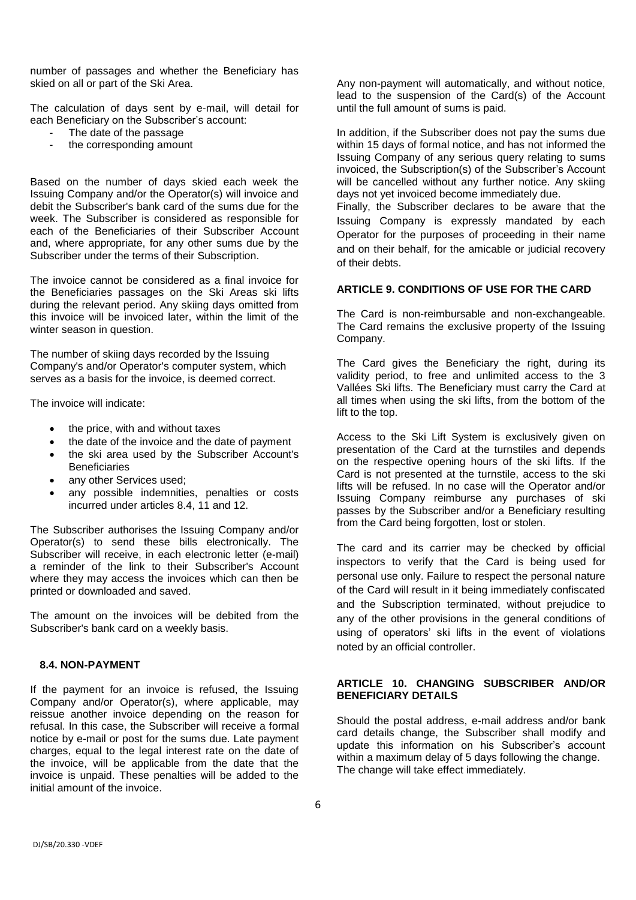number of passages and whether the Beneficiary has skied on all or part of the Ski Area.

The calculation of days sent by e-mail, will detail for each Beneficiary on the Subscriber's account:

- The date of the passage
- the corresponding amount

Based on the number of days skied each week the Issuing Company and/or the Operator(s) will invoice and debit the Subscriber's bank card of the sums due for the week. The Subscriber is considered as responsible for each of the Beneficiaries of their Subscriber Account and, where appropriate, for any other sums due by the Subscriber under the terms of their Subscription.

The invoice cannot be considered as a final invoice for the Beneficiaries passages on the Ski Areas ski lifts during the relevant period. Any skiing days omitted from this invoice will be invoiced later, within the limit of the winter season in question.

The number of skiing days recorded by the Issuing Company's and/or Operator's computer system, which serves as a basis for the invoice, is deemed correct.

The invoice will indicate:

- the price, with and without taxes
- the date of the invoice and the date of payment
- the ski area used by the Subscriber Account's **Beneficiaries**
- any other Services used;
- any possible indemnities, penalties or costs incurred under articles 8.4, 11 and 12.

The Subscriber authorises the Issuing Company and/or Operator(s) to send these bills electronically. The Subscriber will receive, in each electronic letter (e-mail) a reminder of the link to their Subscriber's Account where they may access the invoices which can then be printed or downloaded and saved.

The amount on the invoices will be debited from the Subscriber's bank card on a weekly basis.

### **8.4. NON-PAYMENT**

If the payment for an invoice is refused, the Issuing Company and/or Operator(s), where applicable, may reissue another invoice depending on the reason for refusal. In this case, the Subscriber will receive a formal notice by e-mail or post for the sums due. Late payment charges, equal to the legal interest rate on the date of the invoice, will be applicable from the date that the invoice is unpaid. These penalties will be added to the initial amount of the invoice.

Any non-payment will automatically, and without notice, lead to the suspension of the Card(s) of the Account until the full amount of sums is paid.

In addition, if the Subscriber does not pay the sums due within 15 days of formal notice, and has not informed the Issuing Company of any serious query relating to sums invoiced, the Subscription(s) of the Subscriber's Account will be cancelled without any further notice. Any skiing days not yet invoiced become immediately due.

Finally, the Subscriber declares to be aware that the Issuing Company is expressly mandated by each Operator for the purposes of proceeding in their name and on their behalf, for the amicable or judicial recovery of their debts.

# **ARTICLE 9. CONDITIONS OF USE FOR THE CARD**

The Card is non-reimbursable and non-exchangeable. The Card remains the exclusive property of the Issuing Company.

The Card gives the Beneficiary the right, during its validity period, to free and unlimited access to the 3 Vallées Ski lifts. The Beneficiary must carry the Card at all times when using the ski lifts, from the bottom of the lift to the top.

Access to the Ski Lift System is exclusively given on presentation of the Card at the turnstiles and depends on the respective opening hours of the ski lifts. If the Card is not presented at the turnstile, access to the ski lifts will be refused. In no case will the Operator and/or Issuing Company reimburse any purchases of ski passes by the Subscriber and/or a Beneficiary resulting from the Card being forgotten, lost or stolen.

The card and its carrier may be checked by official inspectors to verify that the Card is being used for personal use only. Failure to respect the personal nature of the Card will result in it being immediately confiscated and the Subscription terminated, without prejudice to any of the other provisions in the general conditions of using of operators' ski lifts in the event of violations noted by an official controller.

## **ARTICLE 10. CHANGING SUBSCRIBER AND/OR BENEFICIARY DETAILS**

Should the postal address, e-mail address and/or bank card details change, the Subscriber shall modify and update this information on his Subscriber's account within a maximum delay of 5 days following the change. The change will take effect immediately.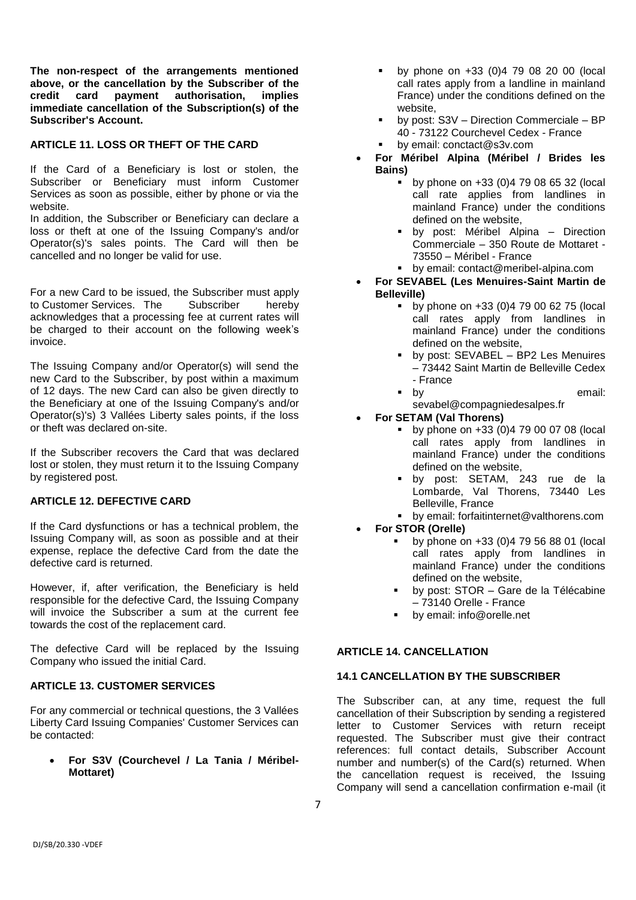**The non-respect of the arrangements mentioned above, or the cancellation by the Subscriber of the credit card payment authorisation, implies immediate cancellation of the Subscription(s) of the Subscriber's Account.**

## **ARTICLE 11. LOSS OR THEFT OF THE CARD**

If the Card of a Beneficiary is lost or stolen, the Subscriber or Beneficiary must inform Customer Services as soon as possible, either by phone or via the website.

In addition, the Subscriber or Beneficiary can declare a loss or theft at one of the Issuing Company's and/or Operator(s)'s sales points. The Card will then be cancelled and no longer be valid for use.

For a new Card to be issued, the Subscriber must apply to Customer Services. The Subscriber hereby acknowledges that a processing fee at current rates will be charged to their account on the following week's invoice.

The Issuing Company and/or Operator(s) will send the new Card to the Subscriber, by post within a maximum of 12 days. The new Card can also be given directly to the Beneficiary at one of the Issuing Company's and/or Operator(s)'s) 3 Vallées Liberty sales points, if the loss or theft was declared on-site.

If the Subscriber recovers the Card that was declared lost or stolen, they must return it to the Issuing Company by registered post.

# **ARTICLE 12. DEFECTIVE CARD**

If the Card dysfunctions or has a technical problem, the Issuing Company will, as soon as possible and at their expense, replace the defective Card from the date the defective card is returned.

However, if, after verification, the Beneficiary is held responsible for the defective Card, the Issuing Company will invoice the Subscriber a sum at the current fee towards the cost of the replacement card.

The defective Card will be replaced by the Issuing Company who issued the initial Card.

### **ARTICLE 13. CUSTOMER SERVICES**

For any commercial or technical questions, the 3 Vallées Liberty Card Issuing Companies' Customer Services can be contacted:

 **For S3V (Courchevel / La Tania / Méribel-Mottaret)**

- by phone on +33 (0)4 79 08 20 00 (local call rates apply from a landline in mainland France) under the conditions defined on the website,
- by post: S3V Direction Commerciale BP 40 - 73122 Courchevel Cedex - France
	- by email: conctact@s3v.com
- **For Méribel Alpina (Méribel / Brides les Bains)**
	- $\bullet$  by phone on  $+33$  (0)4 79 08 65 32 (local call rate applies from landlines in mainland France) under the conditions defined on the website,
	- by post: Méribel Alpina Direction Commerciale – 350 Route de Mottaret - 73550 – Méribel - France
	- by email: contact@meribel-alpina.com
- **For SEVABEL (Les Menuires-Saint Martin de Belleville)**
	- by phone on +33 (0)4 79 00 62 75 (local call rates apply from landlines in mainland France) under the conditions defined on the website,
		- by post: SEVABEL BP2 Les Menuires – 73442 Saint Martin de Belleville Cedex - France
	- **by** by email:
		- sevabel@compagniedesalpes.fr
- **For SETAM (Val Thorens)**
	- by phone on +33 (0)4 79 00 07 08 (local call rates apply from landlines in mainland France) under the conditions defined on the website,
	- by post: SETAM, 243 rue de la Lombarde, Val Thorens, 73440 Les Belleville, France
	- by email: forfaitinternet@valthorens.com
- **For STOR (Orelle)**
	- $\bullet$  by phone on  $+33$  (0)4 79 56 88 01 (local call rates apply from landlines in mainland France) under the conditions defined on the website,
	- by post: STOR Gare de la Télécabine – 73140 Orelle - France
	- by email: info@orelle.net

#### **ARTICLE 14. CANCELLATION**

## **14.1 CANCELLATION BY THE SUBSCRIBER**

The Subscriber can, at any time, request the full cancellation of their Subscription by sending a registered letter to Customer Services with return receipt requested. The Subscriber must give their contract references: full contact details, Subscriber Account number and number(s) of the Card(s) returned. When the cancellation request is received, the Issuing Company will send a cancellation confirmation e-mail (it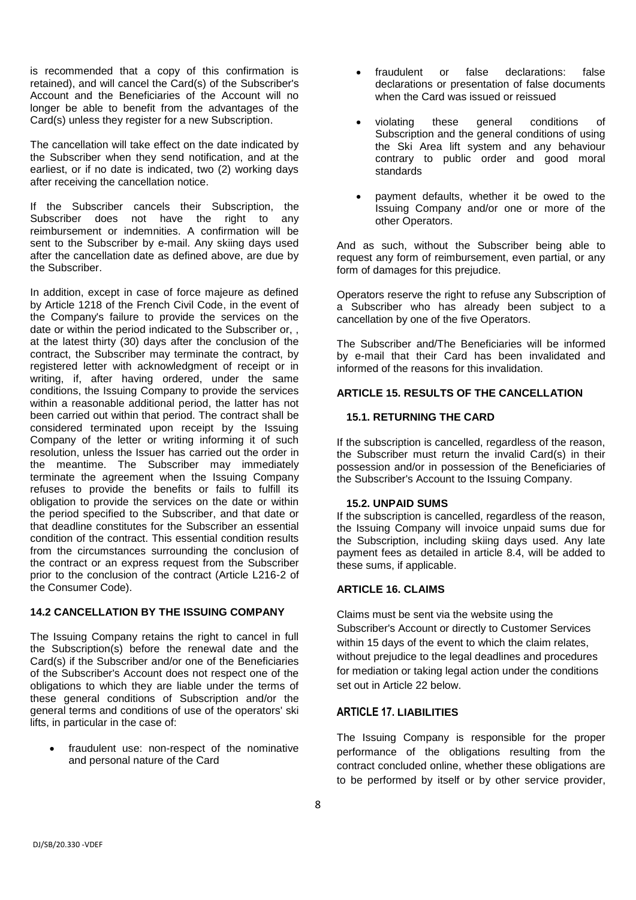is recommended that a copy of this confirmation is retained), and will cancel the Card(s) of the Subscriber's Account and the Beneficiaries of the Account will no longer be able to benefit from the advantages of the Card(s) unless they register for a new Subscription.

The cancellation will take effect on the date indicated by the Subscriber when they send notification, and at the earliest, or if no date is indicated, two (2) working days after receiving the cancellation notice.

If the Subscriber cancels their Subscription, the Subscriber does not have the right to any reimbursement or indemnities. A confirmation will be sent to the Subscriber by e-mail. Any skiing days used after the cancellation date as defined above, are due by the Subscriber.

In addition, except in case of force majeure as defined by Article 1218 of the French Civil Code, in the event of the Company's failure to provide the services on the date or within the period indicated to the Subscriber or, , at the latest thirty (30) days after the conclusion of the contract, the Subscriber may terminate the contract, by registered letter with acknowledgment of receipt or in writing, if, after having ordered, under the same conditions, the Issuing Company to provide the services within a reasonable additional period, the latter has not been carried out within that period. The contract shall be considered terminated upon receipt by the Issuing Company of the letter or writing informing it of such resolution, unless the Issuer has carried out the order in the meantime. The Subscriber may immediately terminate the agreement when the Issuing Company refuses to provide the benefits or fails to fulfill its obligation to provide the services on the date or within the period specified to the Subscriber, and that date or that deadline constitutes for the Subscriber an essential condition of the contract. This essential condition results from the circumstances surrounding the conclusion of the contract or an express request from the Subscriber prior to the conclusion of the contract (Article L216-2 of the Consumer Code).

#### **14.2 CANCELLATION BY THE ISSUING COMPANY**

The Issuing Company retains the right to cancel in full the Subscription(s) before the renewal date and the Card(s) if the Subscriber and/or one of the Beneficiaries of the Subscriber's Account does not respect one of the obligations to which they are liable under the terms of these general conditions of Subscription and/or the general terms and conditions of use of the operators' ski lifts, in particular in the case of:

 fraudulent use: non-respect of the nominative and personal nature of the Card

- fraudulent or false declarations: false declarations or presentation of false documents when the Card was issued or reissued
- violating these general conditions of Subscription and the general conditions of using the Ski Area lift system and any behaviour contrary to public order and good moral standards
- payment defaults, whether it be owed to the Issuing Company and/or one or more of the other Operators.

And as such, without the Subscriber being able to request any form of reimbursement, even partial, or any form of damages for this prejudice.

Operators reserve the right to refuse any Subscription of a Subscriber who has already been subject to a cancellation by one of the five Operators.

The Subscriber and/The Beneficiaries will be informed by e-mail that their Card has been invalidated and informed of the reasons for this invalidation.

# **ARTICLE 15. RESULTS OF THE CANCELLATION**

# **15.1. RETURNING THE CARD**

If the subscription is cancelled, regardless of the reason, the Subscriber must return the invalid Card(s) in their possession and/or in possession of the Beneficiaries of the Subscriber's Account to the Issuing Company.

# **15.2. UNPAID SUMS**

If the subscription is cancelled, regardless of the reason, the Issuing Company will invoice unpaid sums due for the Subscription, including skiing days used. Any late payment fees as detailed in article 8.4, will be added to these sums, if applicable.

# **ARTICLE 16. CLAIMS**

Claims must be sent via the website using the Subscriber's Account or directly to Customer Services within 15 days of the event to which the claim relates, without prejudice to the legal deadlines and procedures for mediation or taking legal action under the conditions set out in Article 22 below.

# **ARTICLE 17. LIABILITIES**

The Issuing Company is responsible for the proper performance of the obligations resulting from the contract concluded online, whether these obligations are to be performed by itself or by other service provider,